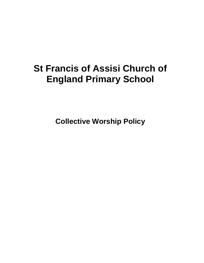# **St Francis of Assisi Church of England Primary School**

**Collective Worship Policy**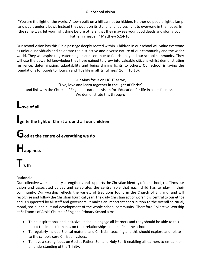#### **Our School Vision**

"You are the light of the world. A town built on a hill cannot be hidden. Neither do people light a lamp and put it under a bowl. Instead they put it on its stand, and it gives light to everyone in the house. In the same way, let your light shine before others, that they may see your good deeds and glorify your Father in heaven." Matthew 5:14-16.

Our school vision has this Bible passage deeply rooted within. Children in our school will value everyone as unique individuals and celebrate the distinctive and diverse nature of our community and the wider world. They will aspire to greater heights and continue to flourish beyond our school community. They will use the powerful knowledge they have gained to grow into valuable citizens whilst demonstrating resilience, determination, adaptability and being shining lights to others. Our school is laying the foundations for pupils to flourish and 'live life in all its fullness' (John 10:10).

#### Our Aims focus on LIGHT as we, "**Live, love and learn together in the light of Christ**"

and link with the Church of England's national vision for 'Education for life in all its fullness'. We demonstrate this through:

**Love of all**

### **Ignite the light of Christ around all our children**

## **God at the centre of everything we do**

**Happiness**

# **Truth**

#### **Rationale**

Our collective worship policy strengthens and supports the Christian identity of our school, reaffirms our vision and associated values and celebrates the central role that each child has to play in their community. Our worship reflects the variety of traditions found in the Church of England, and will recognise and follow the Christian liturgical year. The daily Christian act of worship is central to our ethos and is supported by all staff and governors. It makes an important contribution to the overall spiritual, moral, social and cultural development of the whole school community. Therefore Collective Worship at St Francis of Assisi Church of England Primary School aims:

- To be inspirational and inclusive. It should engage all learners and they should be able to talk about the impact it makes on their relationships and on life in the school
- To regularly include Biblical material and Christian teaching and this should explore and relate to the schools core Christian values.
- To have a strong focus on God as Father, Son and Holy Spirit enabling all learners to embark on an understanding of the Trinity.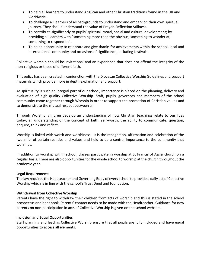- To help all learners to understand Anglican and other Christian traditions found in the UK and worldwide.
- To challenge all learners of all backgrounds to understand and embark on their own spiritual journey. They should understand the value of Prayer, Reflection Stillness.
- To contribute significantly to pupils' spiritual, moral, social and cultural development; by providing all learners with "something more than the obvious, something to wonder at, something to respond to".
- To be an opportunity to celebrate and give thanks for achievements within the school, local and international community and occasions of significance, including festivals.

Collective worship should be invitational and an experience that does not offend the integrity of the non-religious or those of different faith.

This policy has been created in conjunction with the Diocesan Collective Worship Guidelines and support materials which provide more in depth explanation and support.

As spirituality is such an integral part of our school, importance is placed on the planning, delivery and evaluation of high quality Collective Worship. Staff, pupils, governors and members of the school community come together through Worship in order to support the promotion of Christian values and to demonstrate the mutual respect between all.

Through Worship, children develop an understanding of how Christian teachings relate to our lives today; an understanding of the concept of faith, self-worth, the ability to communicate, question, enquire, think and reflect.

Worship is linked with worth and worthiness. It is the recognition, affirmation and celebration of the 'worship' of certain realities and values and held to be a central importance to the community that worships.

In addition to worship within school, classes participate in worship at St Francis of Assisi church on a regular basis. There are also opportunities for the whole school to worship at the church throughout the academic year.

#### **Legal Requirements**

The law requires the Headteacher and Governing Body of every school to provide a daily act of Collective Worship which is in line with the school's Trust Deed and foundation.

#### **Withdrawal from Collective Worship**

Parents have the right to withdraw their children from acts of worship and this is stated in the school prospectus and handbook. Parents' contact needs to be made with the Headteacher. Guidance for new parents on non-participation in acts of Collective Worship is given on the school website.

#### **Inclusion and Equal Opportunities**

Staff planning and leading Collective Worship ensure that all pupils are fully included and have equal opportunities to access all elements.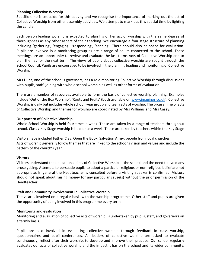#### **Planning Collective Worship**

Specific time is set aside for this activity and we recognise the importance of marking out the act of Collective Worship from other assembly activities. We attempt to mark out this special time by lighting the candle.

Each person leading worship is expected to plan his or her act of worship with the same degree of thoroughness as any other aspect of their teaching. We encourage a four stage structure of planning including 'gathering', 'engaging', 'responding', 'sending'. There should also be space for evaluation. Pupils are involved in a monitoring group as are a range of adults connected to the school. These meetings are an opportunity to review and evaluate the last terms Acts of Collective Worship and to plan themes for the next term. The views of pupils about collective worship are sought through the School Council. Pupils are encouraged to be involved in the planning leading and monitoring of Collective Worship.

Mrs Hunt, one of the school's governors, has a role monitoring Collective Worship through discussions with pupils, staff, joining with whole school worship as well as other forms of evaluation.

There are a number of resources available to form the basis of collective worship planning. Examples include 'Out of the Box Worship', 'Roots and Fruits' (both available on [www.imaginor.co.uk\)](http://www.imaginor.co.uk/). Collective Worship is daily but includes whole school, year group and team acts of worship. The programme of acts of Collective Worship and themes for worship are coordinated by Mrs Williams and Mrs Casey.

#### **Our pattern of Collective Worship**

Whole School Worship is held four times a week. These are taken by a range of teachers throughout school. Class / Key Stage worship is held once a week. These are taken by teachers within the Key Stage

Visitors have included Father Clay, Open the Book, Salvation Army, people from local churches. Acts of worship generally follow themes that are linked to the school's vision and values and include the pattern of the church's year.

#### **Visitors**

Visitors understand the educational aims of Collective Worship at the school and the need to avoid any proselytising. Attempts to persuade pupils to adopt a particular religious or non-religious belief are not appropriate. In general the Headteacher is consulted before a visiting speaker is confirmed. Visitors should not speak about raising money for any particular cause(s) without the prior permission of the Headteacher.

#### **Staff and Community Involvement in Collective Worship**

The vicar is involved on a regular basis with the worship programme. Other staff and pupils are given the opportunity of being involved in this programme every term.

#### **Monitoring and evaluation**

Monitoring and evaluation of collective acts of worship, is undertaken by pupils, staff, and governors on a termly basis.

Pupils are also involved in evaluating collective worship through feedback in class worship, questionnaires and pupil conferences. All leaders of collective worship are asked to evaluate continuously, reflect after their worship, to develop and improve their practice. Our school regularly evaluates our acts of collective worship and the impact it has on the school and its wider community.